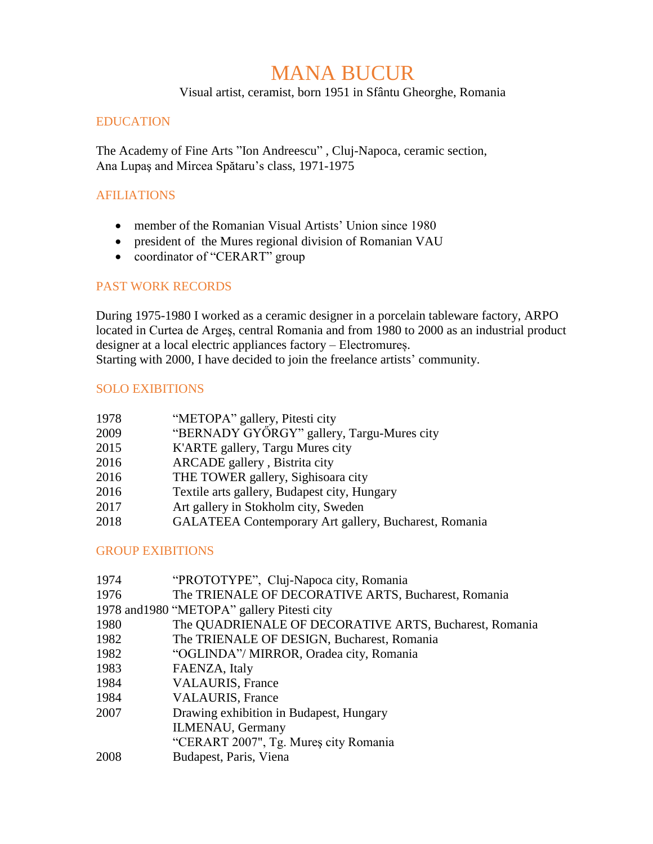# MANA BUCUR

Visual artist, ceramist, born 1951 in Sfântu Gheorghe, Romania

#### EDUCATION

The Academy of Fine Arts "Ion Andreescu" , Cluj-Napoca, ceramic section, Ana Lupaş and Mircea Spătaru's class, 1971-1975

#### AFILIATIONS

- member of the Romanian Visual Artists' Union since 1980
- president of the Mures regional division of Romanian VAU
- coordinator of "CERART" group

#### PAST WORK RECORDS

During 1975-1980 I worked as a ceramic designer in a porcelain tableware factory, ARPO located in Curtea de Argeş, central Romania and from 1980 to 2000 as an industrial product designer at a local electric appliances factory – Electromureș. Starting with 2000, I have decided to join the freelance artists' community.

#### SOLO EXIBITIONS

| 1978 | "METOPA" gallery, Pitesti city                        |
|------|-------------------------------------------------------|
| 2009 | "BERNADY GYŐRGY" gallery, Targu-Mures city            |
| 2015 | K'ARTE gallery, Targu Mures city                      |
| 2016 | ARCADE gallery, Bistrita city                         |
| 2016 | THE TOWER gallery, Sighisoara city                    |
| 2016 | Textile arts gallery, Budapest city, Hungary          |
| 2017 | Art gallery in Stokholm city, Sweden                  |
| 2018 | GALATEEA Contemporary Art gallery, Bucharest, Romania |
|      |                                                       |

## GROUP EXIBITIONS

| 1974 | "PROTOTYPE", Cluj-Napoca city, Romania                          |
|------|-----------------------------------------------------------------|
| 1976 | The TRIENALE OF DECORATIVE ARTS, Bucharest, Romania             |
|      | 1978 and 1980 "METOPA" gallery Pitesti city                     |
| 1980 | The QUADRIENALE OF DECORATIVE ARTS, Bucharest, Romania          |
| 1982 | The TRIENALE OF DESIGN, Bucharest, Romania                      |
| 1982 | "OGLINDA"/ MIRROR, Oradea city, Romania                         |
| 1983 | FAENZA, Italy                                                   |
| 1984 | <b>VALAURIS, France</b>                                         |
| 1984 | <b>VALAURIS, France</b>                                         |
| 2007 | Drawing exhibition in Budapest, Hungary                         |
|      | <b>ILMENAU</b> , Germany                                        |
|      | "CERART 2007", Tg. Mures city Romania                           |
| 2000 | $\mathbf{D}$ and $\mathbf{D}$ and $\mathbf{U}$ and $\mathbf{D}$ |

2008 Budapest, Paris, Viena